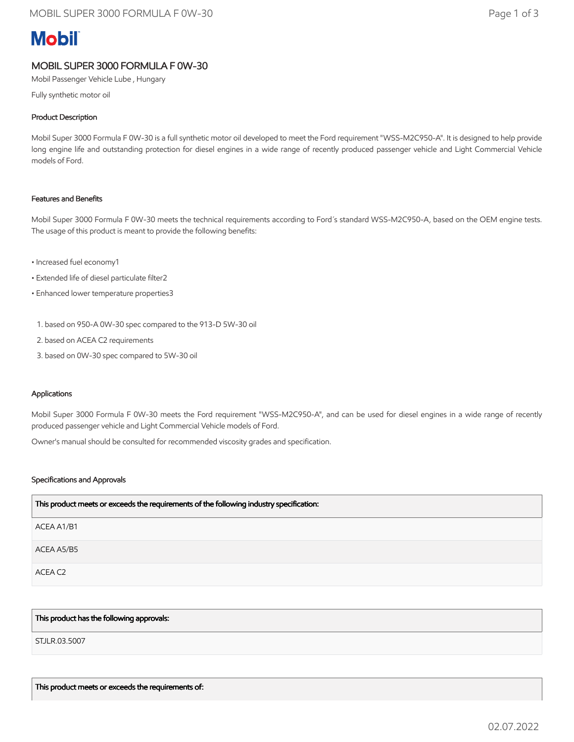# **Mobil**

# MOBIL SUPER 3000 FORMULA F 0W-30

Mobil Passenger Vehicle Lube , Hungary

Fully synthetic motor oil

## Product Description

Mobil Super 3000 Formula F 0W-30 is a full synthetic motor oil developed to meet the Ford requirement "WSS-M2C950-A". It is designed to help provide long engine life and outstanding protection for diesel engines in a wide range of recently produced passenger vehicle and Light Commercial Vehicle models of Ford.

### Features and Benefits

Mobil Super 3000 Formula F 0W-30 meets the technical requirements according to Ford´s standard WSS-M2C950-A, based on the OEM engine tests. The usage of this product is meant to provide the following benefits:

- Increased fuel economy1
- Extended life of diesel particulate filter2
- Enhanced lower temperature properties3
	- 1. based on 950-A 0W-30 spec compared to the 913-D 5W-30 oil
- 2. based on ACEA C2 requirements
- 3. based on 0W-30 spec compared to 5W-30 oil

#### Applications

Mobil Super 3000 Formula F 0W-30 meets the Ford requirement "WSS-M2C950-A", and can be used for diesel engines in a wide range of recently produced passenger vehicle and Light Commercial Vehicle models of Ford.

Owner's manual should be consulted for recommended viscosity grades and specification.

#### Specifications and Approvals

| This product meets or exceeds the requirements of the following industry specification: |
|-----------------------------------------------------------------------------------------|
| ACEA A1/B1                                                                              |
| ACEA A5/B5                                                                              |
| ACEA C2                                                                                 |

#### This product has the following approvals:

STJLR.03.5007

This product meets or exceeds the requirements of: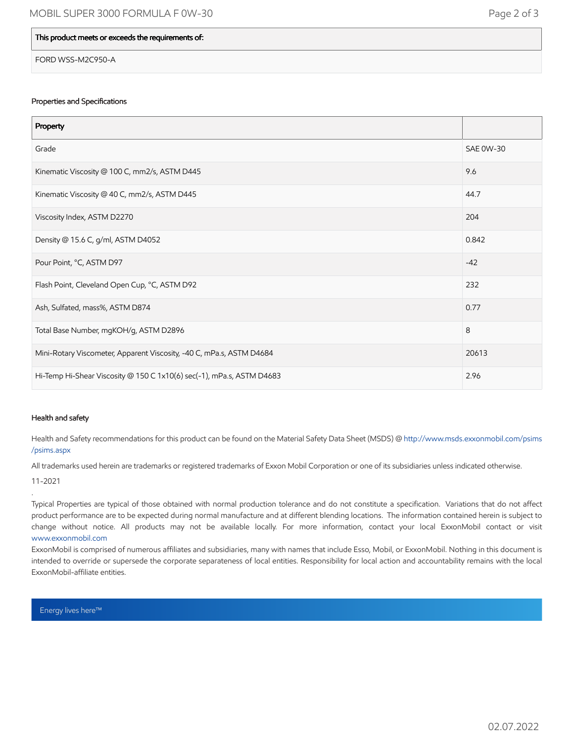### This product meets or exceeds the requirements of:

FORD WSS-M2C950-A

#### Properties and Specifications

| Property                                                              |                  |
|-----------------------------------------------------------------------|------------------|
| Grade                                                                 | <b>SAE 0W-30</b> |
| Kinematic Viscosity @ 100 C, mm2/s, ASTM D445                         | 9.6              |
| Kinematic Viscosity @ 40 C, mm2/s, ASTM D445                          | 44.7             |
| Viscosity Index, ASTM D2270                                           | 204              |
| Density @ 15.6 C, g/ml, ASTM D4052                                    | 0.842            |
| Pour Point, °C, ASTM D97                                              | $-42$            |
| Flash Point, Cleveland Open Cup, °C, ASTM D92                         | 232              |
| Ash, Sulfated, mass%, ASTM D874                                       | 0.77             |
| Total Base Number, mgKOH/g, ASTM D2896                                | 8                |
| Mini-Rotary Viscometer, Apparent Viscosity, -40 C, mPa.s, ASTM D4684  | 20613            |
| Hi-Temp Hi-Shear Viscosity @ 150 C 1x10(6) sec(-1), mPa.s, ASTM D4683 | 2.96             |

#### Health and safety

Health and Safety recommendations for this product can be found on the Material Safety Data Sheet (MSDS) @ [http://www.msds.exxonmobil.com/psims](http://www.msds.exxonmobil.com/psims/psims.aspx) /psims.aspx

All trademarks used herein are trademarks or registered trademarks of Exxon Mobil Corporation or one of its subsidiaries unless indicated otherwise.

11-2021

.

Typical Properties are typical of those obtained with normal production tolerance and do not constitute a specification. Variations that do not affect product performance are to be expected during normal manufacture and at different blending locations. The information contained herein is subject to change without notice. All products may not be available locally. For more information, contact your local ExxonMobil contact or visit [www.exxonmobil.com](http://www.exxonmobil.com/)

ExxonMobil is comprised of numerous affiliates and subsidiaries, many with names that include Esso, Mobil, or ExxonMobil. Nothing in this document is intended to override or supersede the corporate separateness of local entities. Responsibility for local action and accountability remains with the local ExxonMobil-affiliate entities.

Energy lives here™